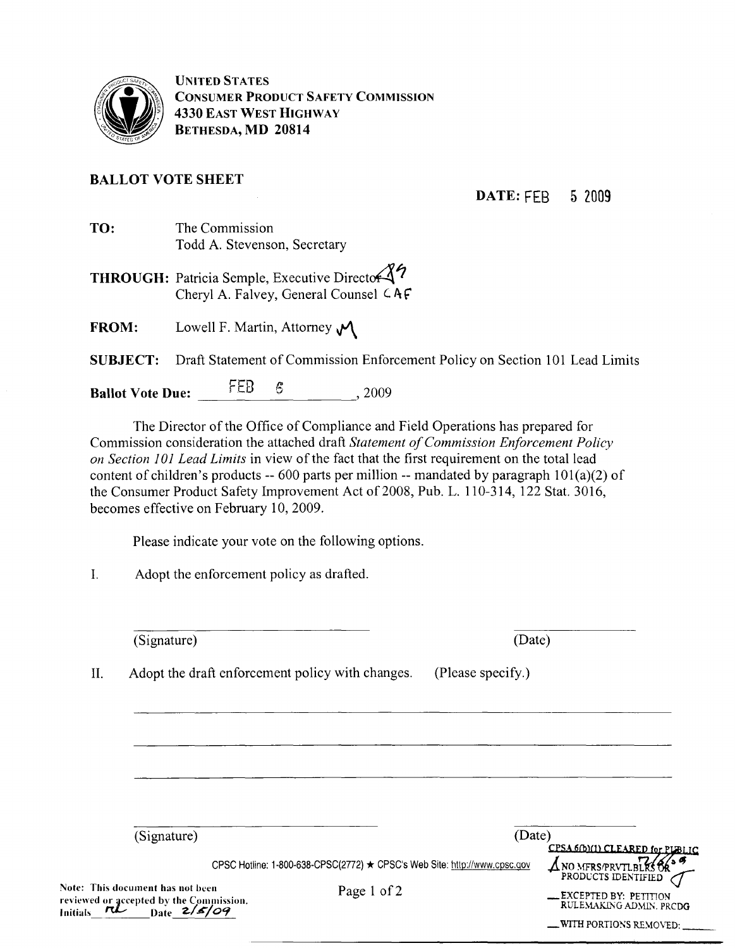

UNITED STATES CONSUMER PRODUCT SAFETY COMMISSION 4330 EAST WEST HIGHWAY BETHESDA, MD 20814

#### BALLOT VOTE SHEET

DATE: FEB 5 2009

- TO: The Commission Todd A. Stevenson, Secretary
- THROUGH: Patricia Semple, Executive Director 37 Cheryl A. Falvey, General Counsel  $CAF$
- FROM: Lowell F. Martin, Attorney  $\mathcal{M}$

SUBJECT: Draft Statement of Commission Enforcement Policy on Section 101 Lead Limits

Ballot Vote Due: FEB 6 6 , 2009

The Director of the Office of Compliance and Field Operations has prepared for Commission consideration the attached draft *Statement ofCommission Enforcement Policy on Section 101 Lead Limits* in view of the fact that the first requirement on the total lead content of children's products -- 600 parts per million -- mandated by paragraph  $101(a)(2)$  of the Consumer Product Safety Improvement Act of 2008, Pub. L. 110-314, 122 Stat. 3016, becomes effective on February 10, 2009.

Please indicate your vote on the following options.

I. Adopt the enforcement policy as drafted.

(Signature)

(Date)

II. Adopt the draft enforcement policy with changes. (Please specify.)

| (Signature)                                                                                                  | (Date)                                                                                   |                                                                                                                                                                             |
|--------------------------------------------------------------------------------------------------------------|------------------------------------------------------------------------------------------|-----------------------------------------------------------------------------------------------------------------------------------------------------------------------------|
| Note: This document has not been<br>reviewed or accepted by the Commission.<br>ri<br><b>Initials</b><br>Date | CPSC Hotline: 1-800-638-CPSC(2772) ★ CPSC's Web Site: http://www.cpsc.gov<br>Page 1 of 2 | CPSA 6(b)(1) CLEARED for PLBLIC<br>ANO MERS/PRVTLBLKSOR <sup>35</sup><br>PRODUCTS IDENTIFIED<br>EXCEPTED BY: PETITION<br>RULEMAKING ADMIN, PRCDG<br>-WITH PORTIONS REMOVED: |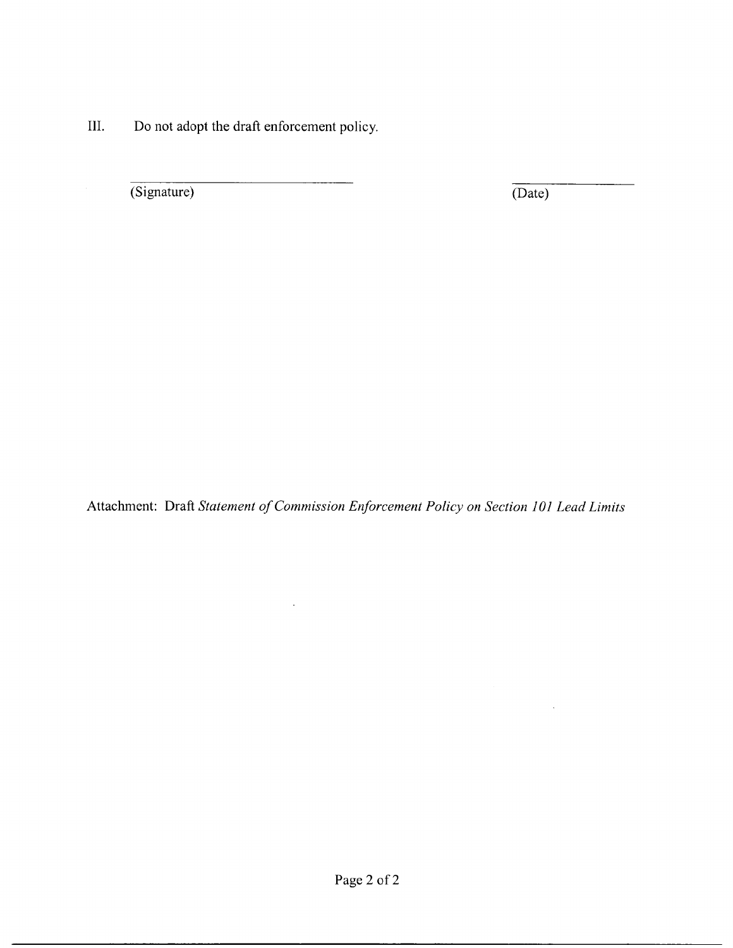III. Do not adopt the draft enforcement policy.

(Signature) (Date)

 $\ddot{\phantom{a}}$ 

Attachment: Draft *Statement ofCommission Enforcement Policy on Section 101 Lead Limits*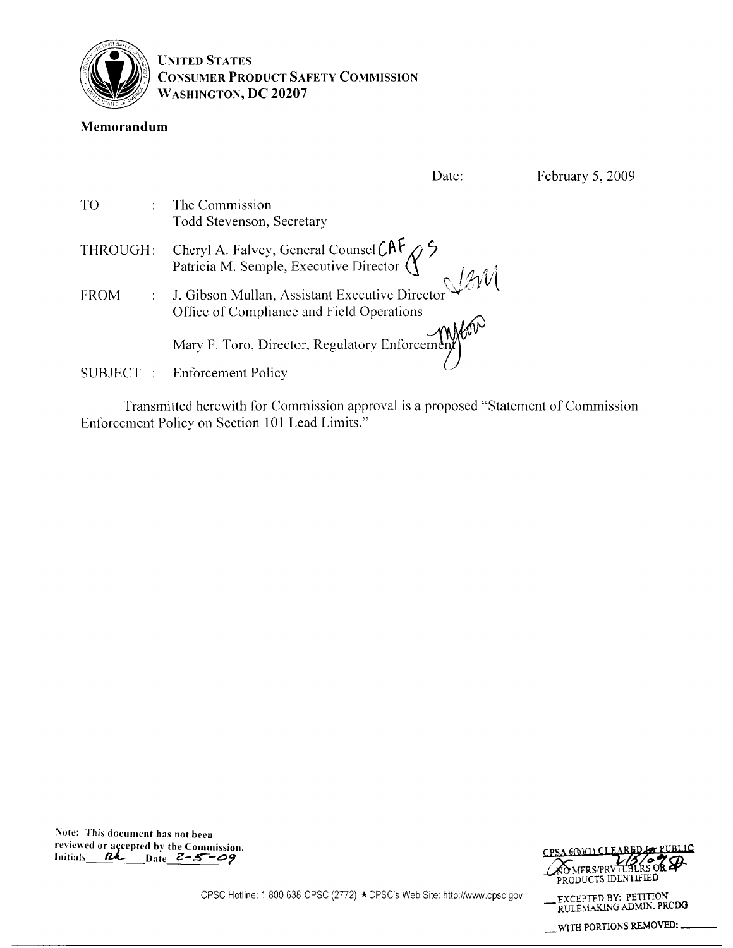

UNITED STATES CONSUMER PRODUCT SAFETY COMMISSION WASHINGTON, DC 20207

#### Memorandum

|             | Date:                                                                                       | February 5, 2009 |
|-------------|---------------------------------------------------------------------------------------------|------------------|
| TO          | The Commission<br>Todd Stevenson, Secretary                                                 |                  |
| THROUGH:    | Cheryl A. Falvey, General Counsel CAF $\gamma$                                              |                  |
| <b>FROM</b> | J. Gibson Mullan, Assistant Executive Director<br>Office of Compliance and Field Operations |                  |
|             | Mary F. Toro, Director, Regulatory Enforcement                                              |                  |
| SUBJECT :   | <b>Enforcement Policy</b>                                                                   |                  |

Transmitted herewith for Commission approval is a proposed "Statement of Commission Enforcement Policy on Section 101 Lead Limits."

Note: This document has not been reviewed or açcepted by the Commission. Initials  $R$  Date  $2 - 5 - \omega$ 



\_ V,1TH PORTIONS REMOVED:\_\_

CPSC Hotline: 1-800-638-CPSC (2772) \*CPSC's Web Site: http://www,cpsc,gov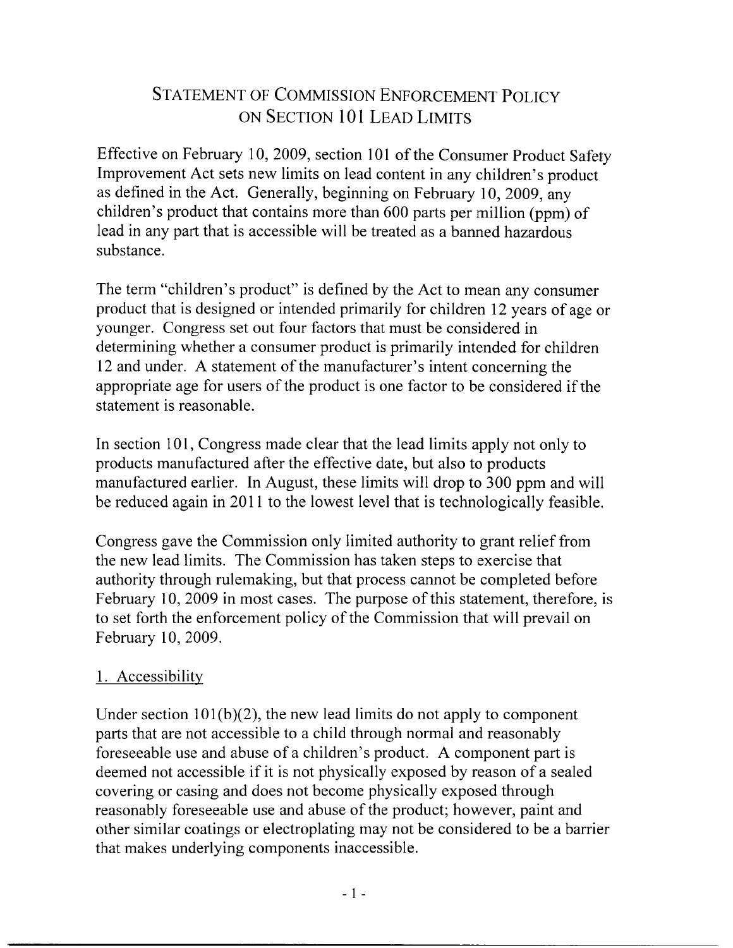# STATEMENT OF COMMISSION ENFORCEMENT POLICY ON SECTION 101 LEAD LIMITS

Effective on February 10, 2009, section 101 of the Consumer Product Safety Improvement Act sets new limits on lead content in any children's product as defined in the Act. Generally, beginning on February 10, 2009, any children's product that contains more than 600 parts per million (ppm) of lead in any part that is accessible will be treated as a banned hazardous substance.

The term "children's product" is defined by the Act to mean any consumer product that is designed or intended primarily for children 12 years of age or younger. Congress set out four factors that must be considered in determining whether a consumer product is primarily intended for children 12 and under. A statement of the manufacturer's intent concerning the appropriate age for users of the product is one factor to be considered if the statement is reasonable.

In section 101, Congress made clear that the lead limits apply not only to products manufactured after the effective date, but also to products manufactured earlier. In August, these limits will drop to 300 ppm and will be reduced again in 2011 to the lowest level that is technologically feasible.

Congress gave the Commission only limited authority to grant relief from the new lead limits. The Commission has taken steps to exercise that authority through rulemaking, but that process cannot be completed before February 10, 2009 in most cases. The purpose of this statement, therefore, is to set forth the enforcement policy of the Commission that will prevail on February 10, 2009.

# 1. Accessibility

Under section  $101(b)(2)$ , the new lead limits do not apply to component parts that are not accessible to a child through normal and reasonably foreseeable use and abuse of a children's product. A component part is deemed not accessible if it is not physically exposed by reason of a sealed covering or casing and does not become physically exposed through reasonably foreseeable use and abuse of the product; however, paint and other similar coatings or electroplating may not be considered to be a barrier that makes underlying components inaccessible.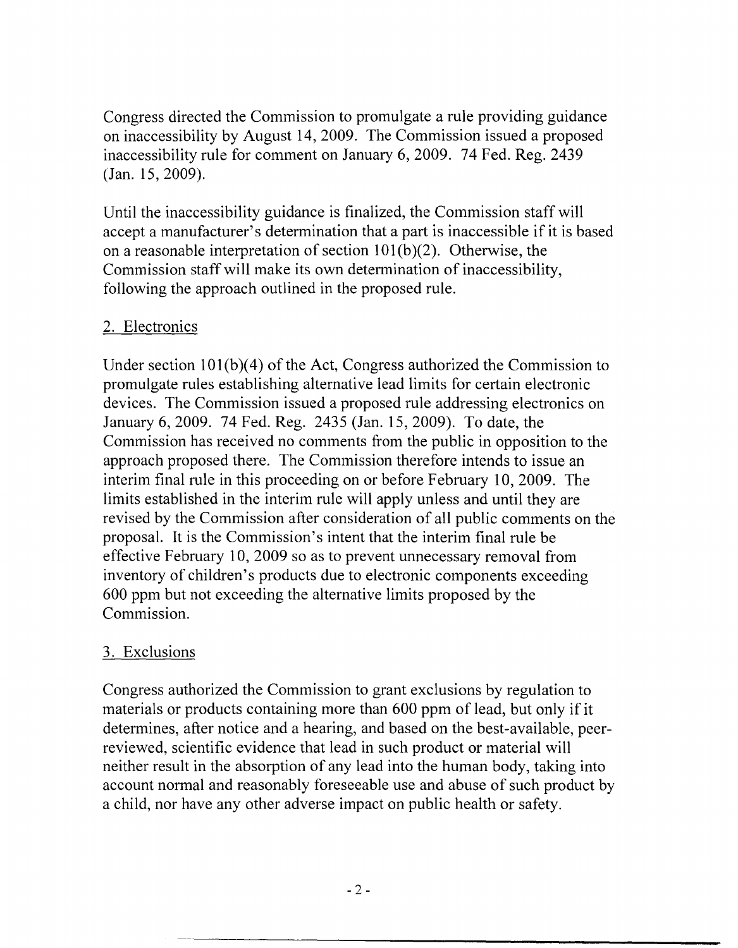Congress directed the Commission to promulgate a rule providing guidance on inaccessibility by August 14,2009. The Commission issued a proposed inaccessibility rule for comment on January 6, 2009. 74 Fed. Reg. 2439 (Jan. 15, 2009).

Until the inaccessibility guidance is finalized, the Commission staff will accept a manufacturer's determination that a part is inaccessible if it is based on a reasonable interpretation of section  $101(b)(2)$ . Otherwise, the Commission staff will make its own determination of inaccessibility, following the approach outlined in the proposed rule.

### 2. Electronics

Under section  $101(b)(4)$  of the Act, Congress authorized the Commission to promulgate rules establishing alternative lead limits for certain electronic devices. The Commission issued a proposed rule addressing electronics on January 6, 2009. 74 Fed. Reg. 2435 (Jan. 15, 2009). To date, the Commission has received no comments from the public in opposition to the approach proposed there. The Commission therefore intends to issue an interim final rule in this proceeding on or before February 10,2009. The limits established in the interim rule will apply unless and until they are revised by the Commission after consideration of all public comments on the proposal. It is the Commission's intent that the interim final rule be effective February 10, 2009 so as to prevent unnecessary removal from inventory of children's products due to electronic components exceeding 600 ppm but not exceeding the alternative limits proposed by the Commission.

# 3. Exclusions

Congress authorized the Commission to grant exclusions by regulation to materials or products containing more than 600 ppm of lead, but only if it determines, after notice and a hearing, and based on the best-available, peerreviewed, scientific evidence that lead in such product or material will neither result in the absorption of any lead into the human body, taking into account normal and reasonably foreseeable use and abuse of such product by a child, nor have any other adverse impact on public health or safety.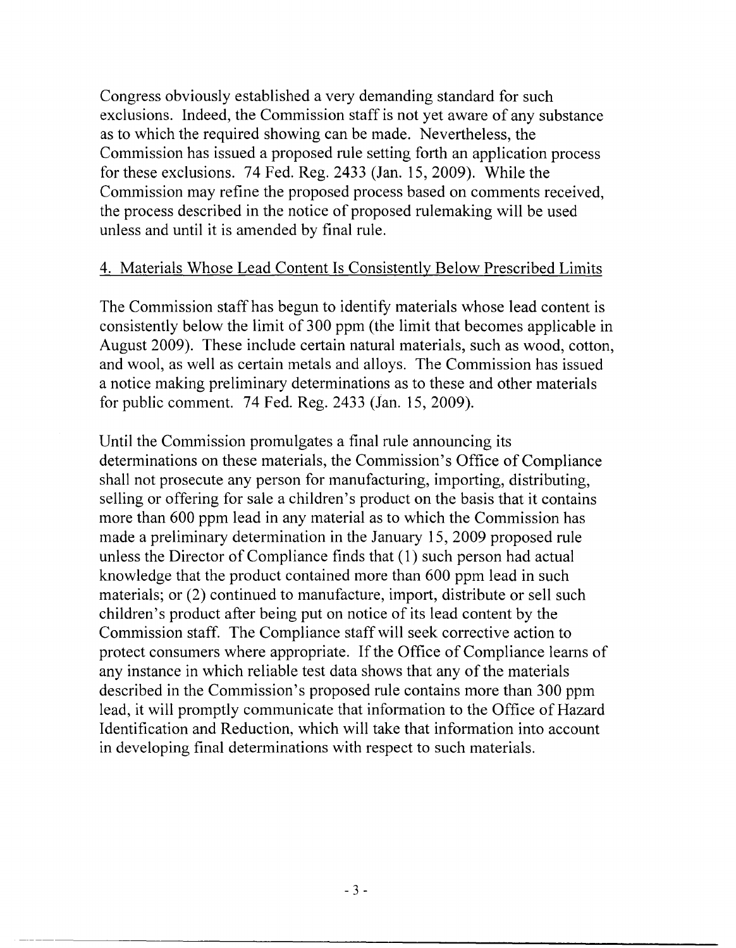Congress obviously established a very demanding standard for such exclusions. Indeed, the Commission staff is not yet aware of any substance as to which the required showing can be made. Nevertheless, the Commission has issued a proposed rule setting forth an application process for these exclusions. 74 Fed. Reg. 2433 (Jan. 15,2009). While the Commission may refine the proposed process based on comments received, the process described in the notice of proposed rulemaking will be used unless and until it is amended by final rule.

#### 4. Materials Whose Lead Content Is Consistently Below Prescribed Limits

The Commission staff has begun to identify materials whose lead content is consistently below the limit of 300 ppm (the limit that becomes applicable in August 2009). These include certain natural materials, such as wood, cotton, and wool, as well as certain metals and alloys. The Commission has issued a notice making preliminary determinations as to these and other materials for public comment. 74 Fed. Reg. 2433 (Jan. 15,2009).

Until the Commission promulgates a final rule announcing its determinations on these materials, the Commission's Office of Compliance shall not prosecute any person for manufacturing, importing, distributing, selling or offering for sale a children's product on the basis that it contains more than 600 ppm lead in any material as to which the Commission has made a preliminary determination in the January 15,2009 proposed rule unless the Director of Compliance finds that  $(1)$  such person had actual knowledge that the product contained more than 600 ppm lead in such materials; or (2) continued to manufacture, import, distribute or sell such children's product after being put on notice of its lead content by the Commission staff. The Compliance staffwill seek corrective action to protect consumers where appropriate. If the Office of Compliance learns of any instance in which reliable test data shows that any of the materials described in the Commission's proposed rule contains more than 300 ppm lead, it will promptly communicate that information to the Office of Hazard Identification and Reduction, which will take that information into account in developing final determinations with respect to such materials.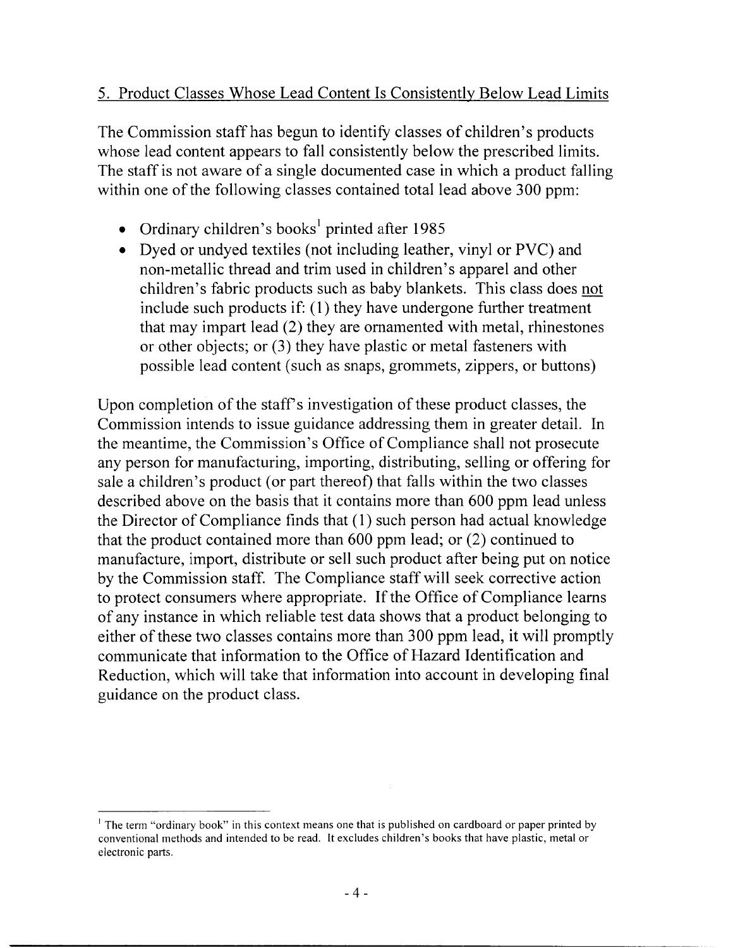### 5. Product Classes Whose Lead Content Is Consistently Below Lead Limits

The Commission staff has begun to identify classes of children's products whose lead content appears to fall consistently below the prescribed limits. The staff is not aware of a single documented case in which a product falling within one of the following classes contained total lead above 300 ppm:

- Ordinary children's books<sup>1</sup> printed after 1985
- Dyed or undyed textiles (not including leather, vinyl or PVC) and non-metallic thread and trim used in children's apparel and other children's fabric products such as baby blankets. This class does not include such products if: (l) they have undergone further treatment that may impart lead (2) they are ornamented with metal, rhinestones or other objects; or (3) they have plastic or metal fasteners with possible lead content (such as snaps, grommets, zippers, or buttons)

Upon completion of the staff's investigation of these product classes, the Commission intends to issue guidance addressing them in greater detail. In the meantime, the Commission's Office of Compliance shall not prosecute any person for manufacturing, importing, distributing, selling or offering for sale a children's product (or part thereof) that falls within the two classes described above on the basis that it contains more than 600 ppm lead unless the Director of Compliance finds that (1) such person had actual knowledge that the product contained more than 600 ppm lead; or (2) continued to manufacture, import, distribute or sell such product after being put on notice by the Commission staff. The Compliance staff will seek corrective action to protect consumers where appropriate. If the Office of Compliance learns of any instance in which reliable test data shows that a product belonging to either of these two classes contains more than 300 ppm lead, it will promptly communicate that information to the Office of Hazard Identification and Reduction, which will take that information into account in developing final guidance on the product class.

<sup>&</sup>lt;sup>1</sup> The term "ordinary book" in this context means one that is published on cardboard or paper printed by conventional methods and intended to be read. It excludes children's books that have plastic, metal or electronic parts.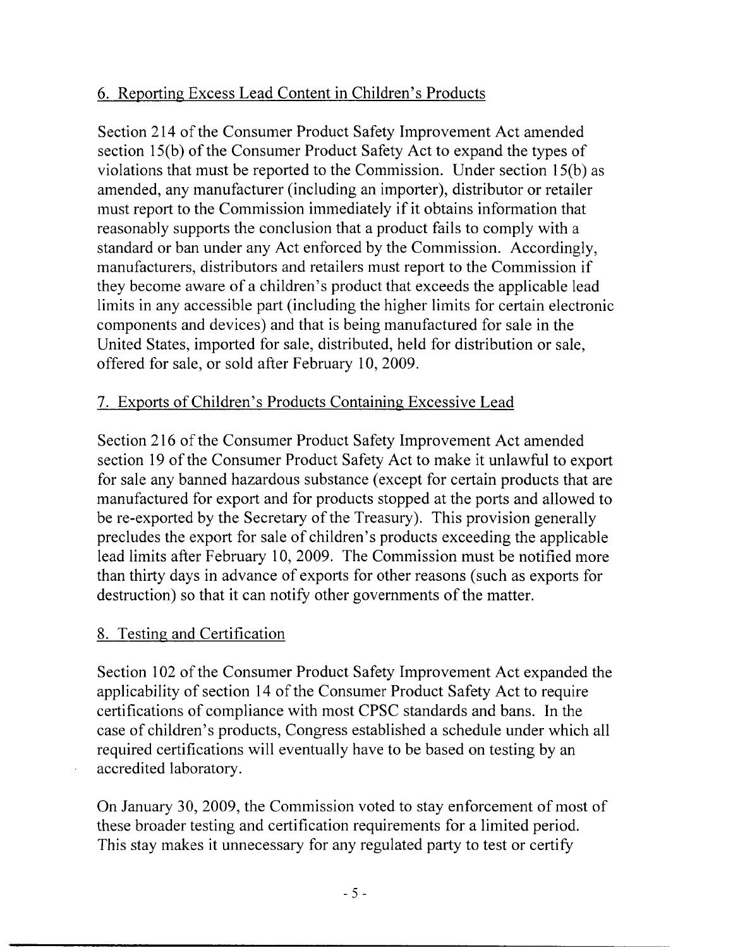# 6. Reporting Excess Lead Content in Children's Products

Section 214 of the Consumer Product Safety Improvement Act amended section 15(b) of the Consumer Product Safety Act to expand the types of violations that must be reported to the Commission. Under section 15(b) as amended, any manufacturer (including an importer), distributor or retailer must report to the Commission immediately if it obtains information that reasonably supports the conclusion that a product fails to comply with a standard or ban under any Act enforced by the Commission. Accordingly, manufacturers, distributors and retailers must report to the Commission if they become aware of a children's product that exceeds the applicable lead limits in any accessible part (including the higher limits for certain electronic components and devices) and that is being manufactured for sale in the United States, imported for sale, distributed, held for distribution or sale, offered for sale, or sold after February 10, 2009.

# 7. Exports of Children's Products Containing Excessive Lead

Section 216 of the Consumer Product Safety Improvement Act amended section 19 of the Consumer Product Safety Act to make it unlawful to export for sale any banned hazardous substance (except for certain products that are manufactured for export and for products stopped at the ports and allowed to be re-exported by the Secretary of the Treasury). This provision generally precludes the export for sale of children's products exceeding the applicable lead limits after February 10, 2009. The Commission must be notified more than thirty days in advance of exports for other reasons (such as exports for destruction) so that it can notify other governments of the matter.

### 8. Testing and Certification

Section 102 of the Consumer Product Safety Improvement Act expanded the applicability of section 14 of the Consumer Product Safety Act to require certifications of compliance with most CPSC standards and bans. In the case of children's products, Congress established a schedule under which all required certifications will eventually have to be based on testing by an accredited laboratory.

On January 30, 2009, the Commission voted to stay enforcement of most of these broader testing and certification requirements for a limited period. This stay makes it unnecessary for any regulated party to test or certify